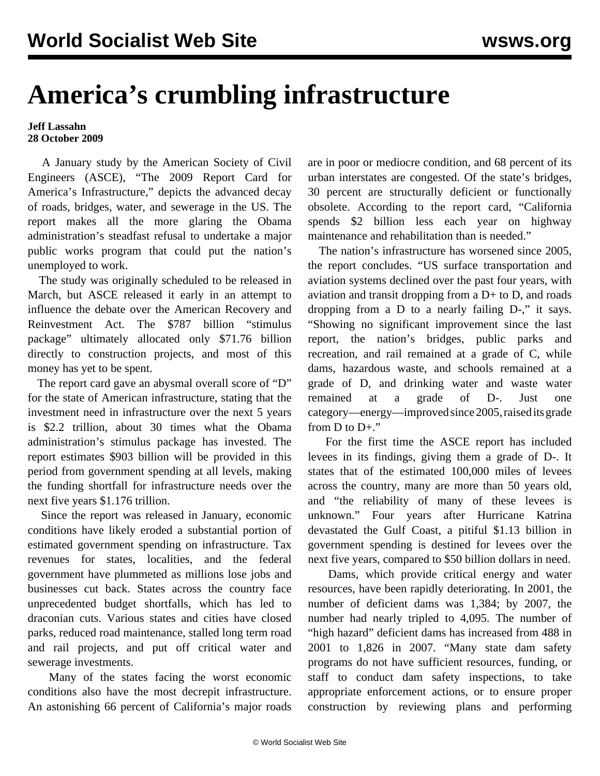## **America's crumbling infrastructure**

## **Jeff Lassahn 28 October 2009**

 A January study by the American Society of Civil Engineers (ASCE), "The 2009 Report Card for America's Infrastructure," depicts the advanced decay of roads, bridges, water, and sewerage in the US. The report makes all the more glaring the Obama administration's steadfast refusal to undertake a major public works program that could put the nation's unemployed to work.

 The study was originally scheduled to be released in March, but ASCE released it early in an attempt to influence the debate over the American Recovery and Reinvestment Act. The \$787 billion "stimulus package" ultimately allocated only \$71.76 billion directly to construction projects, and most of this money has yet to be spent.

The report card gave an abysmal overall score of "D" for the state of American infrastructure, stating that the investment need in infrastructure over the next 5 years is \$2.2 trillion, about 30 times what the Obama administration's stimulus package has invested. The report estimates \$903 billion will be provided in this period from government spending at all levels, making the funding shortfall for infrastructure needs over the next five years \$1.176 trillion.

 Since the report was released in January, economic conditions have likely eroded a substantial portion of estimated government spending on infrastructure. Tax revenues for states, localities, and the federal government have plummeted as millions lose jobs and businesses cut back. States across the country face unprecedented budget shortfalls, which has led to draconian cuts. Various states and cities have closed parks, reduced road maintenance, stalled long term road and rail projects, and put off critical water and sewerage investments.

 Many of the states facing the worst economic conditions also have the most decrepit infrastructure. An astonishing 66 percent of California's major roads are in poor or mediocre condition, and 68 percent of its urban interstates are congested. Of the state's bridges, 30 percent are structurally deficient or functionally obsolete. According to the report card, "California spends \$2 billion less each year on highway maintenance and rehabilitation than is needed."

 The nation's infrastructure has worsened since 2005, the report concludes. "US surface transportation and aviation systems declined over the past four years, with aviation and transit dropping from a D+ to D, and roads dropping from a D to a nearly failing D-," it says. "Showing no significant improvement since the last report, the nation's bridges, public parks and recreation, and rail remained at a grade of C, while dams, hazardous waste, and schools remained at a grade of D, and drinking water and waste water remained at a grade of D-. Just one category—energy—improved since 2005, raised its grade from  $D$  to  $D+$ ."

 For the first time the ASCE report has included levees in its findings, giving them a grade of D-. It states that of the estimated 100,000 miles of levees across the country, many are more than 50 years old, and "the reliability of many of these levees is unknown." Four years after Hurricane Katrina devastated the Gulf Coast, a pitiful \$1.13 billion in government spending is destined for levees over the next five years, compared to \$50 billion dollars in need.

 Dams, which provide critical energy and water resources, have been rapidly deteriorating. In 2001, the number of deficient dams was 1,384; by 2007, the number had nearly tripled to 4,095. The number of "high hazard" deficient dams has increased from 488 in 2001 to 1,826 in 2007. "Many state dam safety programs do not have sufficient resources, funding, or staff to conduct dam safety inspections, to take appropriate enforcement actions, or to ensure proper construction by reviewing plans and performing